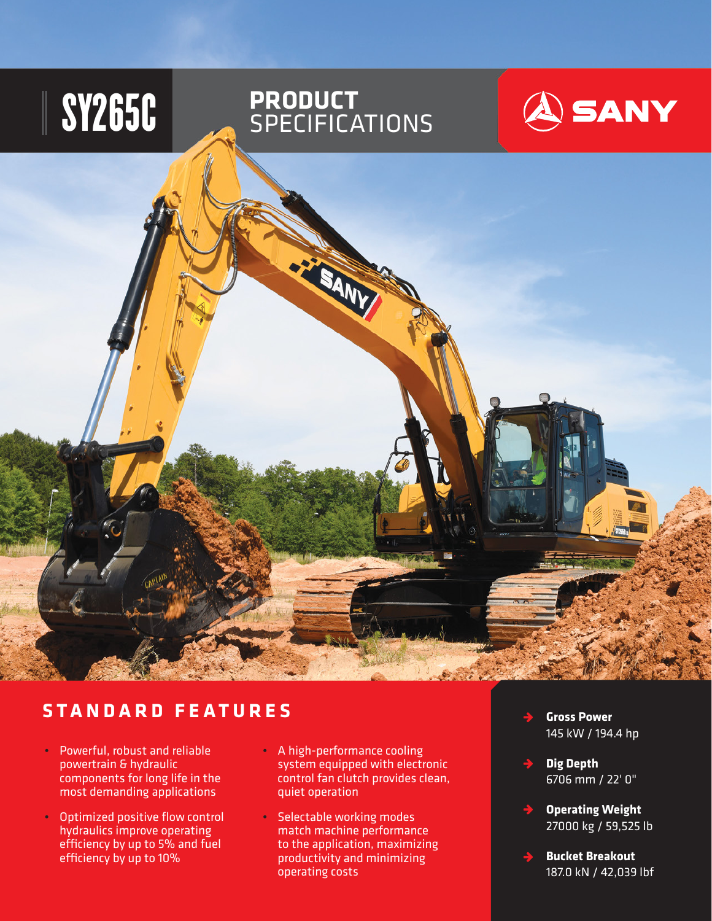

## **STANDARD FEATURES**

- Powerful, robust and reliable powertrain & hydraulic components for long life in the most demanding applications
- Optimized positive flow control hydraulics improve operating efficiency by up to 5% and fuel efficiency by up to 10%
- A high-performance cooling system equipped with electronic control fan clutch provides clean, quiet operation
- Selectable working modes match machine performance to the application, maximizing productivity and minimizing operating costs
- **Gross Power**  145 kW / 194.4 hp
- **Dig Depth** 6706 mm / 22' 0"
- **Operating Weight** 27000 kg / 59,525 lb
- **Bucket Breakout** 187.0 kN / 42,039 lbf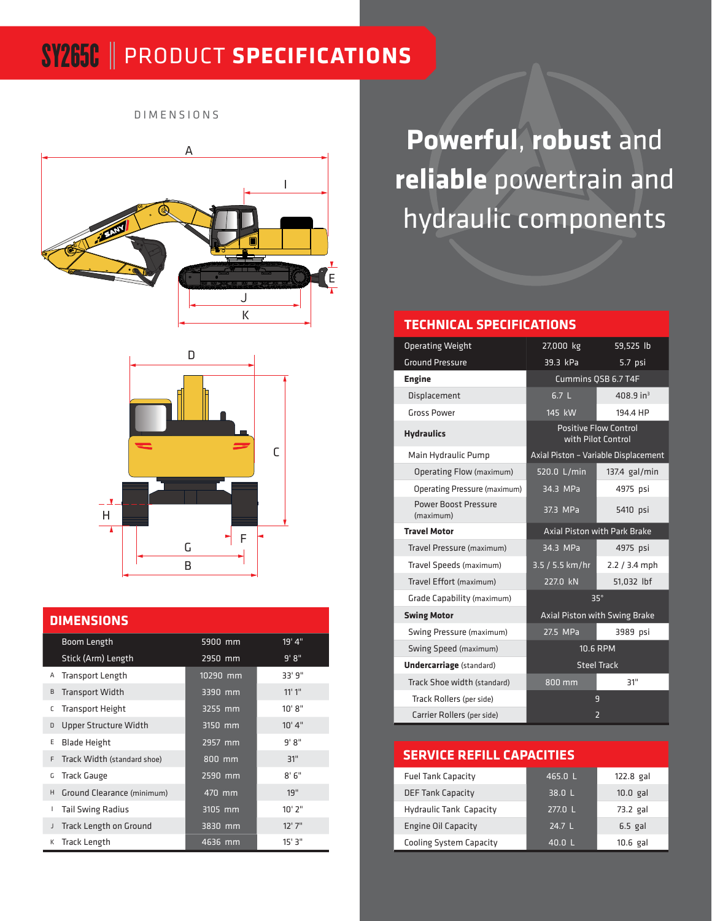# SY265C PRODUCT **SPECIFICATIONS**

DIMENSIONS





#### **DIMENSIONS**

|   | Boom Length                   | 5900 mm  | 19'4"       |
|---|-------------------------------|----------|-------------|
|   | Stick (Arm) Length            | 2950 mm  | 9' 8"       |
| Α | <b>Transport Length</b>       | 10290 mm | 33' 9"      |
| B | <b>Transport Width</b>        | 3390 mm  | 11'1''      |
| С | <b>Transport Height</b>       | 3255 mm  | 10' 8''     |
| D | Upper Structure Width         | 3150 mm  | 10'4''      |
| E | <b>Blade Height</b>           | 2957 mm  | $9'$ $8''$  |
| F | Track Width (standard shoe)   | 800 mm   | 31"         |
| G | <b>Track Gauge</b>            | 2590 mm  | 8'6''       |
| H | Ground Clearance (minimum)    | 470 mm   | 19"         |
| L | <b>Tail Swing Radius</b>      | 3105 mm  | $10'$ $2''$ |
| J | <b>Track Length on Ground</b> | 3830 mm  | $12'$ 7"    |
| К | <b>Track Length</b>           | 4636 mm  | 15'3''      |

**Powerful**, **robust** and **reliable** powertrain and hydraulic components

#### **TECHNICAL SPECIFICATIONS**

| <b>Operating Weight</b>             | 27,000 kg                                          | 59,525 lb                            |  |  |
|-------------------------------------|----------------------------------------------------|--------------------------------------|--|--|
| <b>Ground Pressure</b>              | 39.3 kPa                                           | 5.7 psi                              |  |  |
| <b>Engine</b>                       | Cummins QSB 6.7 T4F                                |                                      |  |  |
| Displacement                        | 6.7 <sub>L</sub>                                   | 408.9 in <sup>3</sup>                |  |  |
| <b>Gross Power</b>                  | 145 kW                                             | 194.4 HP                             |  |  |
| <b>Hydraulics</b>                   | <b>Positive Flow Control</b><br>with Pilot Control |                                      |  |  |
| Main Hydraulic Pump                 |                                                    | Axial Piston - Variable Displacement |  |  |
| Operating Flow (maximum)            | 520.0 L/min                                        | 137.4 gal/min                        |  |  |
| <b>Operating Pressure (maximum)</b> | 34.3 MPa                                           | 4975 psi                             |  |  |
| Power Boost Pressure<br>(maximum)   | 37.3 MPa                                           | 5410 psi                             |  |  |
| <b>Travel Motor</b>                 |                                                    | <b>Axial Piston with Park Brake</b>  |  |  |
| Travel Pressure (maximum)           | 34.3 MPa                                           | 4975 psi                             |  |  |
| Travel Speeds (maximum)             | 3.5 / 5.5 km/hr                                    | $2.2 / 3.4$ mph                      |  |  |
| Travel Effort (maximum)             | 227.0 kN                                           | 51,032 lbf                           |  |  |
| Grade Capability (maximum)          |                                                    | 35°                                  |  |  |
| <b>Swing Motor</b>                  | Axial Piston with Swing Brake                      |                                      |  |  |
| Swing Pressure (maximum)            | 27.5 MPa                                           | 3989 psi                             |  |  |
| Swing Speed (maximum)               | 10.6 RPM                                           |                                      |  |  |
| <b>Undercarriage</b> (standard)     | <b>Steel Track</b>                                 |                                      |  |  |
| Track Shoe width (standard)         | 800 mm                                             | 31"                                  |  |  |
| Track Rollers (per side)            |                                                    | 9                                    |  |  |
| Carrier Rollers (per side)          |                                                    | $\overline{2}$                       |  |  |

#### **SERVICE REFILL CAPACITIES**

| <b>Fuel Tank Capacity</b>      | 465.0 L           | 122.8 gal  |
|--------------------------------|-------------------|------------|
| <b>DEF Tank Capacity</b>       | 38.0 L            | $10.0$ gal |
| <b>Hydraulic Tank Capacity</b> | 277.0 L           | 73.2 gal   |
| <b>Engine Oil Capacity</b>     | 24.7 $\mathsf{L}$ | $6.5$ gal  |
| <b>Cooling System Capacity</b> | 40.0 L            | $10.6$ gal |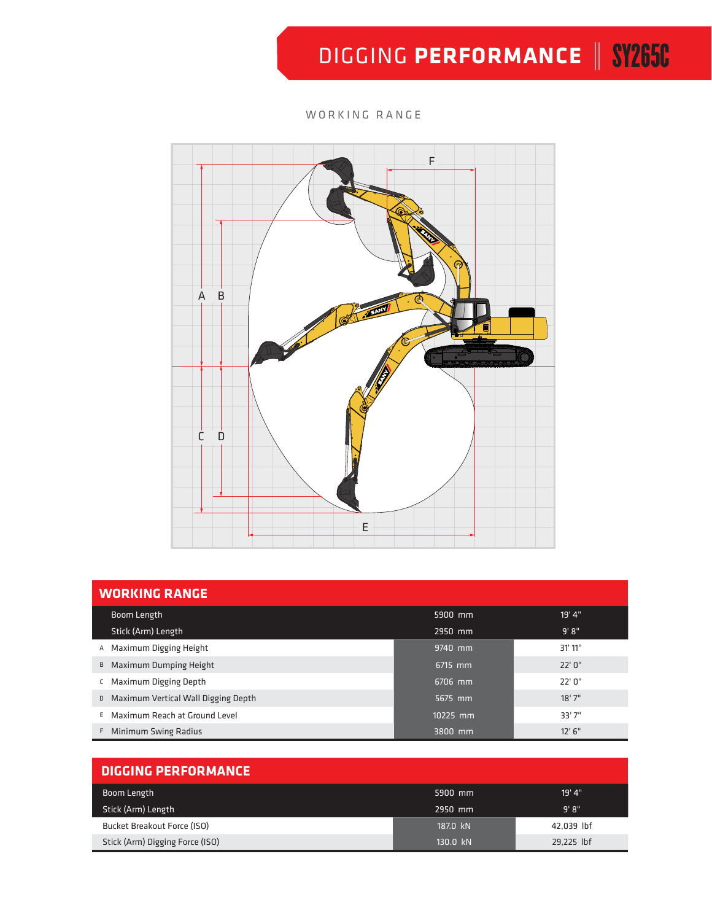# DIGGING PERFORMANCE | SY265C

#### WORKING RANGE



| <b>WORKING RANGE</b>                     |          |         |  |  |  |  |
|------------------------------------------|----------|---------|--|--|--|--|
| Boom Length                              | 5900 mm  | 19' 4"  |  |  |  |  |
| Stick (Arm) Length                       | 2950 mm  | 9' 8''  |  |  |  |  |
| A Maximum Digging Height                 | 9740 mm  | 31' 11" |  |  |  |  |
| B Maximum Dumping Height                 | 6715 mm  | 22'0''  |  |  |  |  |
| Maximum Digging Depth<br>C               | 6706 mm  | 22'0''  |  |  |  |  |
| Maximum Vertical Wall Digging Depth<br>D | 5675 mm  | 18'7''  |  |  |  |  |
| E Maximum Reach at Ground Level          | 10225 mm | 33'7"   |  |  |  |  |
| F Minimum Swing Radius                   | 3800 mm  | 12' 6'' |  |  |  |  |

| <b>DIGGING PERFORMANCE</b>      |          |            |  |  |  |
|---------------------------------|----------|------------|--|--|--|
| Boom Length                     | 5900 mm  | 19' 4"     |  |  |  |
| Stick (Arm) Length              | 2950 mm  | 9' 8''     |  |  |  |
| Bucket Breakout Force (ISO)     | 187.0 kN | 42,039 lbf |  |  |  |
| Stick (Arm) Digging Force (ISO) | 130.0 kN | 29,225 lbf |  |  |  |